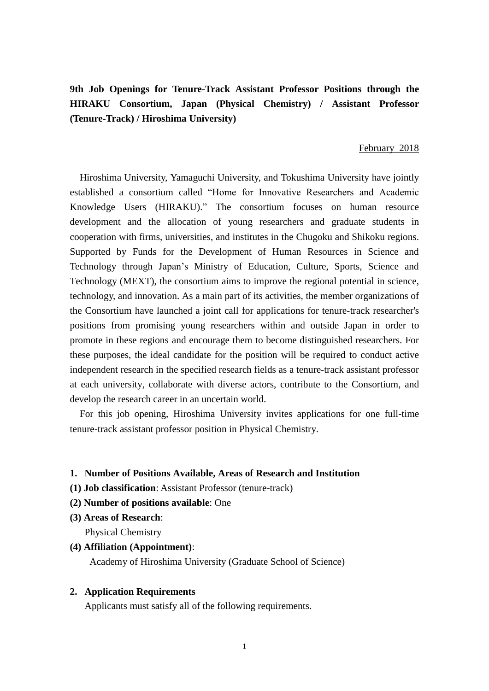**9th Job Openings for Tenure-Track Assistant Professor Positions through the HIRAKU Consortium, Japan (Physical Chemistry) / Assistant Professor (Tenure-Track) / Hiroshima University)**

#### February 2018

Hiroshima University, Yamaguchi University, and Tokushima University have jointly established a consortium called "Home for Innovative Researchers and Academic Knowledge Users (HIRAKU)." The consortium focuses on human resource development and the allocation of young researchers and graduate students in cooperation with firms, universities, and institutes in the Chugoku and Shikoku regions. Supported by Funds for the Development of Human Resources in Science and Technology through Japan's Ministry of Education, Culture, Sports, Science and Technology (MEXT), the consortium aims to improve the regional potential in science, technology, and innovation. As a main part of its activities, the member organizations of the Consortium have launched a joint call for applications for tenure-track researcher's positions from promising young researchers within and outside Japan in order to promote in these regions and encourage them to become distinguished researchers. For these purposes, the ideal candidate for the position will be required to conduct active independent research in the specified research fields as a tenure-track assistant professor at each university, collaborate with diverse actors, contribute to the Consortium, and develop the research career in an uncertain world.

For this job opening, Hiroshima University invites applications for one full-time tenure-track assistant professor position in Physical Chemistry.

## **1. Number of Positions Available, Areas of Research and Institution**

- **(1) Job classification**: Assistant Professor (tenure-track)
- **(2) Number of positions available**: One
- **(3) Areas of Research**:

Physical Chemistry

### **(4) Affiliation (Appointment)**:

Academy of Hiroshima University (Graduate School of Science)

#### **2. Application Requirements**

Applicants must satisfy all of the following requirements.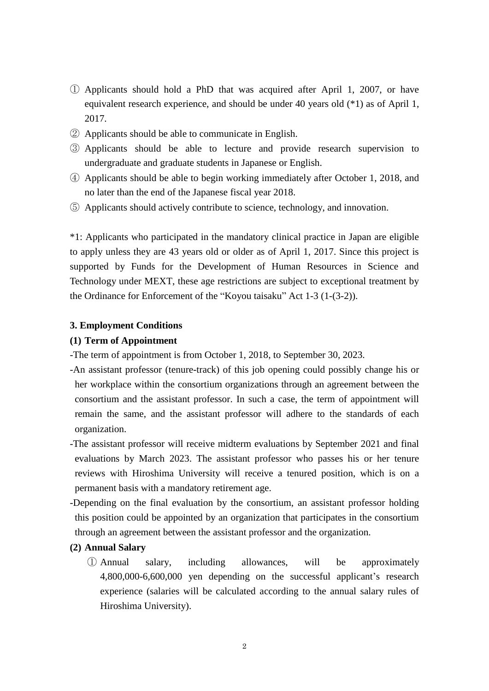- ① Applicants should hold a PhD that was acquired after April 1, 2007, or have equivalent research experience, and should be under 40 years old (\*1) as of April 1, 2017.
- ② Applicants should be able to communicate in English.
- ③ Applicants should be able to lecture and provide research supervision to undergraduate and graduate students in Japanese or English.
- ④ Applicants should be able to begin working immediately after October 1, 2018, and no later than the end of the Japanese fiscal year 2018.
- ⑤ Applicants should actively contribute to science, technology, and innovation.

\*1: Applicants who participated in the mandatory clinical practice in Japan are eligible to apply unless they are 43 years old or older as of April 1, 2017. Since this project is supported by Funds for the Development of Human Resources in Science and Technology under MEXT, these age restrictions are subject to exceptional treatment by the Ordinance for Enforcement of the "Koyou taisaku" Act 1-3 (1-(3-2)).

### **3. Employment Conditions**

#### **(1) Term of Appointment**

-The term of appointment is from October 1, 2018, to September 30, 2023.

- -An assistant professor (tenure-track) of this job opening could possibly change his or her workplace within the consortium organizations through an agreement between the consortium and the assistant professor. In such a case, the term of appointment will remain the same, and the assistant professor will adhere to the standards of each organization.
- -The assistant professor will receive midterm evaluations by September 2021 and final evaluations by March 2023. The assistant professor who passes his or her tenure reviews with Hiroshima University will receive a tenured position, which is on a permanent basis with a mandatory retirement age.
- -Depending on the final evaluation by the consortium, an assistant professor holding this position could be appointed by an organization that participates in the consortium through an agreement between the assistant professor and the organization.

### **(2) Annual Salary**

① Annual salary, including allowances, will be approximately 4,800,000-6,600,000 yen depending on the successful applicant's research experience (salaries will be calculated according to the annual salary rules of Hiroshima University).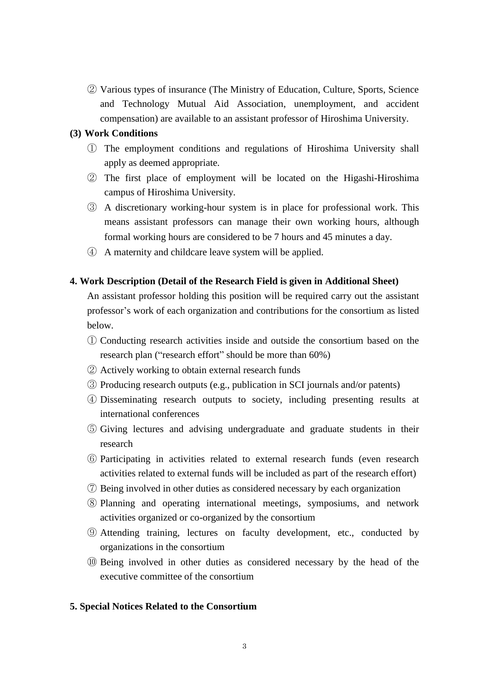② Various types of insurance (The Ministry of Education, Culture, Sports, Science and Technology Mutual Aid Association, unemployment, and accident compensation) are available to an assistant professor of Hiroshima University.

### **(3) Work Conditions**

- ① The employment conditions and regulations of Hiroshima University shall apply as deemed appropriate.
- ② The first place of employment will be located on the Higashi-Hiroshima campus of Hiroshima University.
- ③ A discretionary working-hour system is in place for professional work. This means assistant professors can manage their own working hours, although formal working hours are considered to be 7 hours and 45 minutes a day.
- ④ A maternity and childcare leave system will be applied.

#### **4. Work Description (Detail of the Research Field is given in Additional Sheet)**

An assistant professor holding this position will be required carry out the assistant professor's work of each organization and contributions for the consortium as listed below.

- ① Conducting research activities inside and outside the consortium based on the research plan ("research effort" should be more than 60%)
- ② Actively working to obtain external research funds
- ③ Producing research outputs (e.g., publication in SCI journals and/or patents)
- ④ Disseminating research outputs to society, including presenting results at international conferences
- ⑤ Giving lectures and advising undergraduate and graduate students in their research
- ⑥ Participating in activities related to external research funds (even research activities related to external funds will be included as part of the research effort)
- ⑦ Being involved in other duties as considered necessary by each organization
- ⑧ Planning and operating international meetings, symposiums, and network activities organized or co-organized by the consortium
- ⑨ Attending training, lectures on faculty development, etc., conducted by organizations in the consortium
- ⑩ Being involved in other duties as considered necessary by the head of the executive committee of the consortium

## **5. Special Notices Related to the Consortium**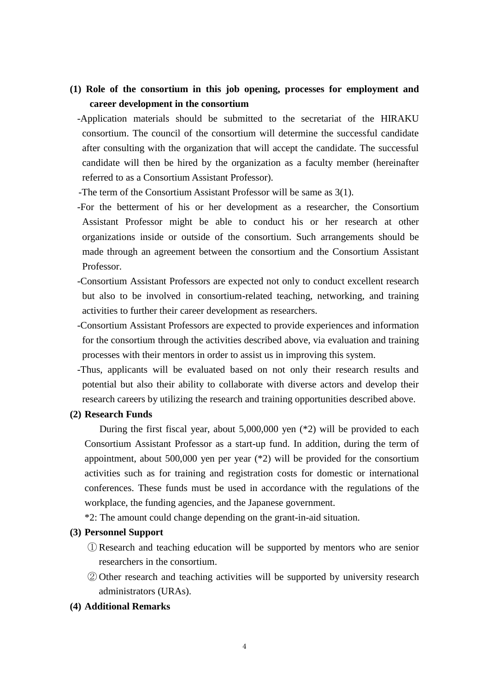# **(1) Role of the consortium in this job opening, processes for employment and career development in the consortium**

- -Application materials should be submitted to the secretariat of the HIRAKU consortium. The council of the consortium will determine the successful candidate after consulting with the organization that will accept the candidate. The successful candidate will then be hired by the organization as a faculty member (hereinafter referred to as a Consortium Assistant Professor).
- -The term of the Consortium Assistant Professor will be same as 3(1).
- -For the betterment of his or her development as a researcher, the Consortium Assistant Professor might be able to conduct his or her research at other organizations inside or outside of the consortium. Such arrangements should be made through an agreement between the consortium and the Consortium Assistant Professor.
- -Consortium Assistant Professors are expected not only to conduct excellent research but also to be involved in consortium-related teaching, networking, and training activities to further their career development as researchers.
- -Consortium Assistant Professors are expected to provide experiences and information for the consortium through the activities described above, via evaluation and training processes with their mentors in order to assist us in improving this system.
- -Thus, applicants will be evaluated based on not only their research results and potential but also their ability to collaborate with diverse actors and develop their research careers by utilizing the research and training opportunities described above.

#### **(2) Research Funds**

During the first fiscal year, about 5,000,000 yen (\*2) will be provided to each Consortium Assistant Professor as a start-up fund. In addition, during the term of appointment, about 500,000 yen per year (\*2) will be provided for the consortium activities such as for training and registration costs for domestic or international conferences. These funds must be used in accordance with the regulations of the workplace, the funding agencies, and the Japanese government.

\*2: The amount could change depending on the grant-in-aid situation.

### **(3) Personnel Support**

- ① Research and teaching education will be supported by mentors who are senior researchers in the consortium.
- ② Other research and teaching activities will be supported by university research administrators (URAs).

## **(4) Additional Remarks**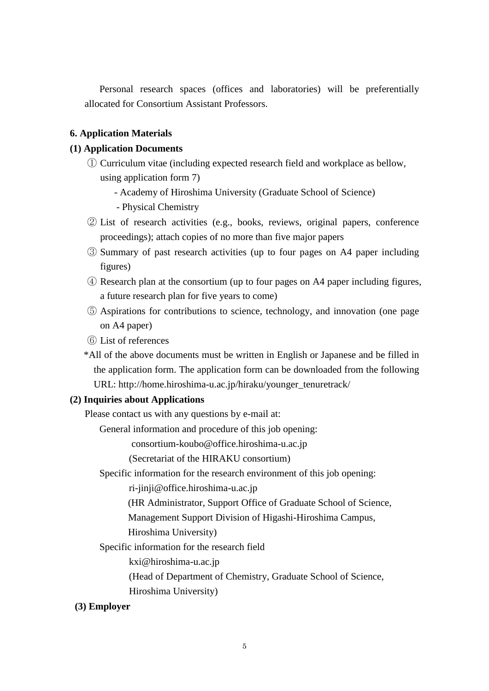Personal research spaces (offices and laboratories) will be preferentially allocated for Consortium Assistant Professors.

## **6. Application Materials**

### **(1) Application Documents**

- ① Curriculum vitae (including expected research field and workplace as bellow, using application form 7)
	- Academy of Hiroshima University (Graduate School of Science)
	- Physical Chemistry
- ② List of research activities (e.g., books, reviews, original papers, conference proceedings); attach copies of no more than five major papers
- ③ Summary of past research activities (up to four pages on A4 paper including figures)
- ④ Research plan at the consortium (up to four pages on A4 paper including figures, a future research plan for five years to come)
- ⑤ Aspirations for contributions to science, technology, and innovation (one page on A4 paper)
- ⑥ List of references
- \*All of the above documents must be written in English or Japanese and be filled in the application form. The application form can be downloaded from the following URL: http://home.hiroshima-u.ac.jp/hiraku/younger\_tenuretrack/

### **(2) Inquiries about Applications**

Please contact us with any questions by e-mail at:

General information and procedure of this job opening:

consortium-koubo@office.hiroshima-u.ac.jp

(Secretariat of the HIRAKU consortium)

Specific information for the research environment of this job opening:

ri-jinji@office.hiroshima-u.ac.jp

(HR Administrator, Support Office of Graduate School of Science,

Management Support Division of Higashi-Hiroshima Campus,

#### Hiroshima University)

Specific information for the research field

kxi@hiroshima-u.ac.jp

(Head of Department of Chemistry, Graduate School of Science,

Hiroshima University)

### **(3) Employer**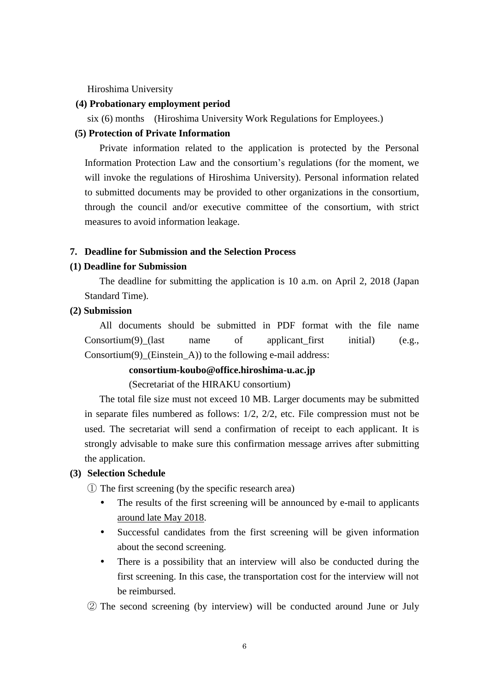Hiroshima University

#### **(4) Probationary employment period**

six (6) months (Hiroshima University Work Regulations for Employees.)

### **(5) Protection of Private Information**

Private information related to the application is protected by the Personal Information Protection Law and the consortium's regulations (for the moment, we will invoke the regulations of Hiroshima University). Personal information related to submitted documents may be provided to other organizations in the consortium, through the council and/or executive committee of the consortium, with strict measures to avoid information leakage.

#### **7. Deadline for Submission and the Selection Process**

#### **(1) Deadline for Submission**

The deadline for submitting the application is 10 a.m. on April 2, 2018 (Japan Standard Time).

### **(2) Submission**

All documents should be submitted in PDF format with the file name  $Consortium(9)$  (last name of applicant first initial) (e.g., Consortium(9) (Einstein A)) to the following e-mail address:

## **consortium-koubo@office.hiroshima-u.ac.jp**

(Secretariat of the HIRAKU consortium)

The total file size must not exceed 10 MB. Larger documents may be submitted in separate files numbered as follows: 1/2, 2/2, etc. File compression must not be used. The secretariat will send a confirmation of receipt to each applicant. It is strongly advisable to make sure this confirmation message arrives after submitting the application.

#### **(3) Selection Schedule**

① The first screening (by the specific research area)

- The results of the first screening will be announced by e-mail to applicants around late May 2018.
- Successful candidates from the first screening will be given information about the second screening.
- There is a possibility that an interview will also be conducted during the first screening. In this case, the transportation cost for the interview will not be reimbursed.
- ② The second screening (by interview) will be conducted around June or July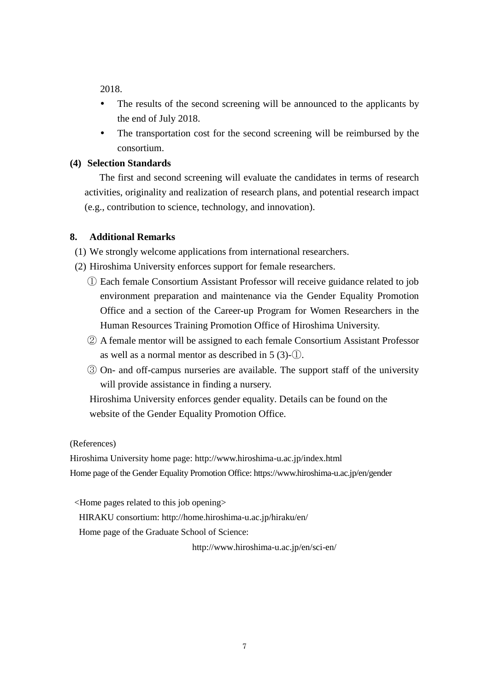2018.

- The results of the second screening will be announced to the applicants by the end of July 2018.
- The transportation cost for the second screening will be reimbursed by the consortium.

## **(4) Selection Standards**

The first and second screening will evaluate the candidates in terms of research activities, originality and realization of research plans, and potential research impact (e.g., contribution to science, technology, and innovation).

## **8. Additional Remarks**

(1) We strongly welcome applications from international researchers.

- (2) Hiroshima University enforces support for female researchers.
	- ① Each female Consortium Assistant Professor will receive guidance related to job environment preparation and maintenance via the Gender Equality Promotion Office and a section of the Career-up Program for Women Researchers in the Human Resources Training Promotion Office of Hiroshima University.
	- ② A female mentor will be assigned to each female Consortium Assistant Professor as well as a normal mentor as described in 5 (3)-①.
	- ③ On- and off-campus nurseries are available. The support staff of the university will provide assistance in finding a nursery.

 Hiroshima University enforces gender equality. Details can be found on the website of the Gender Equality Promotion Office.

(References)

Hiroshima University home page: http://www.hiroshima-u.ac.jp/index.html Home page of the Gender Equality Promotion Office: https://www.hiroshima-u.ac.jp/en/gender

<Home pages related to this job opening>

HIRAKU consortium: http://home.hiroshima-u.ac.jp/hiraku/en/

Home page of the Graduate School of Science:

http://www.hiroshima-u.ac.jp/en/sci-en/